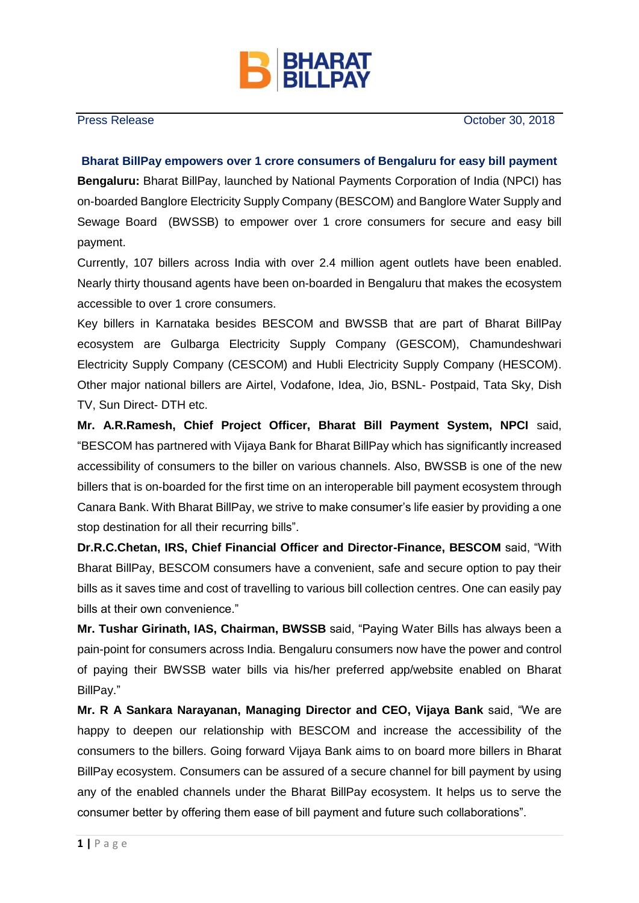

Press Release **October 30, 2018** 

## **Bharat BillPay empowers over 1 crore consumers of Bengaluru for easy bill payment**

**Bengaluru:** Bharat BillPay, launched by National Payments Corporation of India (NPCI) has on-boarded Banglore Electricity Supply Company (BESCOM) and Banglore Water Supply and Sewage Board (BWSSB) to empower over 1 crore consumers for secure and easy bill payment.

Currently, 107 billers across India with over 2.4 million agent outlets have been enabled. Nearly thirty thousand agents have been on-boarded in Bengaluru that makes the ecosystem accessible to over 1 crore consumers.

Key billers in Karnataka besides BESCOM and BWSSB that are part of Bharat BillPay ecosystem are Gulbarga Electricity Supply Company (GESCOM), Chamundeshwari Electricity Supply Company (CESCOM) and Hubli Electricity Supply Company (HESCOM). Other major national billers are Airtel, Vodafone, Idea, Jio, BSNL- Postpaid, Tata Sky, Dish TV, Sun Direct- DTH etc.

**Mr. A.R.Ramesh, Chief Project Officer, Bharat Bill Payment System, NPCI** said, "BESCOM has partnered with Vijaya Bank for Bharat BillPay which has significantly increased accessibility of consumers to the biller on various channels. Also, BWSSB is one of the new billers that is on-boarded for the first time on an interoperable bill payment ecosystem through Canara Bank. With Bharat BillPay, we strive to make consumer's life easier by providing a one stop destination for all their recurring bills".

**Dr.R.C.Chetan, IRS, Chief Financial Officer and Director-Finance, BESCOM** said, "With Bharat BillPay, BESCOM consumers have a convenient, safe and secure option to pay their bills as it saves time and cost of travelling to various bill collection centres. One can easily pay bills at their own convenience."

**Mr. Tushar Girinath, IAS, Chairman, BWSSB** said, "Paying Water Bills has always been a pain-point for consumers across India. Bengaluru consumers now have the power and control of paying their BWSSB water bills via his/her preferred app/website enabled on Bharat BillPay."

**Mr. R A Sankara Narayanan, Managing Director and CEO, Vijaya Bank** said, "We are happy to deepen our relationship with BESCOM and increase the accessibility of the consumers to the billers. Going forward Vijaya Bank aims to on board more billers in Bharat BillPay ecosystem. Consumers can be assured of a secure channel for bill payment by using any of the enabled channels under the Bharat BillPay ecosystem. It helps us to serve the consumer better by offering them ease of bill payment and future such collaborations".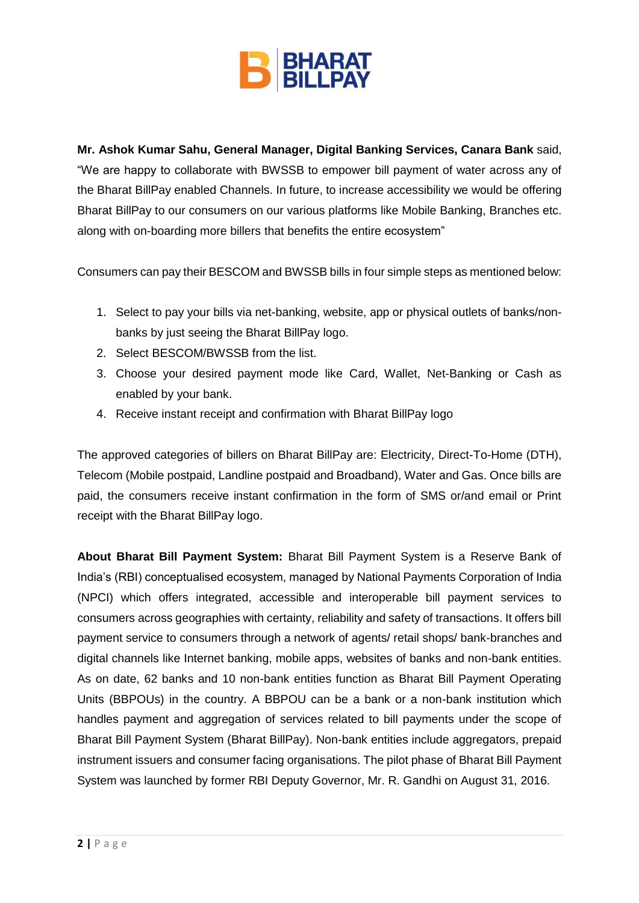

**Mr. Ashok Kumar Sahu, General Manager, Digital Banking Services, Canara Bank** said, "We are happy to collaborate with BWSSB to empower bill payment of water across any of the Bharat BillPay enabled Channels. In future, to increase accessibility we would be offering Bharat BillPay to our consumers on our various platforms like Mobile Banking, Branches etc. along with on-boarding more billers that benefits the entire ecosystem"

Consumers can pay their BESCOM and BWSSB bills in four simple steps as mentioned below:

- 1. Select to pay your bills via net-banking, website, app or physical outlets of banks/nonbanks by just seeing the Bharat BillPay logo.
- 2. Select BESCOM/BWSSB from the list.
- 3. Choose your desired payment mode like Card, Wallet, Net-Banking or Cash as enabled by your bank.
- 4. Receive instant receipt and confirmation with Bharat BillPay logo

The approved categories of billers on Bharat BillPay are: Electricity, Direct-To-Home (DTH), Telecom (Mobile postpaid, Landline postpaid and Broadband), Water and Gas. Once bills are paid, the consumers receive instant confirmation in the form of SMS or/and email or Print receipt with the Bharat BillPay logo.

**About Bharat Bill Payment System:** Bharat Bill Payment System is a Reserve Bank of India's (RBI) conceptualised ecosystem, managed by National Payments Corporation of India (NPCI) which offers integrated, accessible and interoperable bill payment services to consumers across geographies with certainty, reliability and safety of transactions. It offers bill payment service to consumers through a network of agents/ retail shops/ bank-branches and digital channels like Internet banking, mobile apps, websites of banks and non-bank entities. As on date, 62 banks and 10 non-bank entities function as Bharat Bill Payment Operating Units (BBPOUs) in the country. A BBPOU can be a bank or a non-bank institution which handles payment and aggregation of services related to bill payments under the scope of Bharat Bill Payment System (Bharat BillPay). Non-bank entities include aggregators, prepaid instrument issuers and consumer facing organisations. The pilot phase of Bharat Bill Payment System was launched by former RBI Deputy Governor, Mr. R. Gandhi on August 31, 2016.